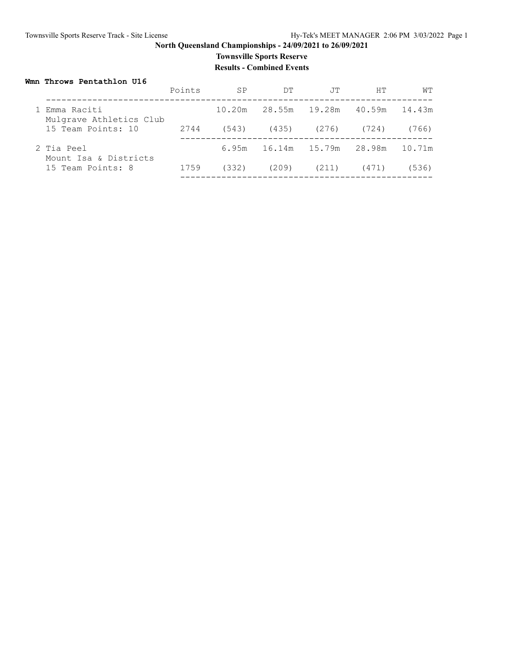### **Townsville Sports Reserve Results - Combined Events**

#### **Wmn Throws Pentathlon U16**

|                                          | Points | <b>SP</b> | DT     | .TT                        | HТ            | WТ     |
|------------------------------------------|--------|-----------|--------|----------------------------|---------------|--------|
| 1 Emma Raciti<br>Mulgrave Athletics Club |        | 10.20m    | 28.55m | 19.28m                     | 40.59m 14.43m |        |
| 15 Team Points: 10                       | 2744   | (543)     |        | $(435)$ $(276)$            | (724)         | (766)  |
| 2 Tia Peel<br>Mount Isa & Districts      |        |           |        | 6.95m 16.14m 15.79m 28.98m |               | 10.71m |
| 15 Team Points: 8                        | 1759   | (332)     | (209)  | (211)                      | (471)         | (536)  |
|                                          |        |           |        |                            |               |        |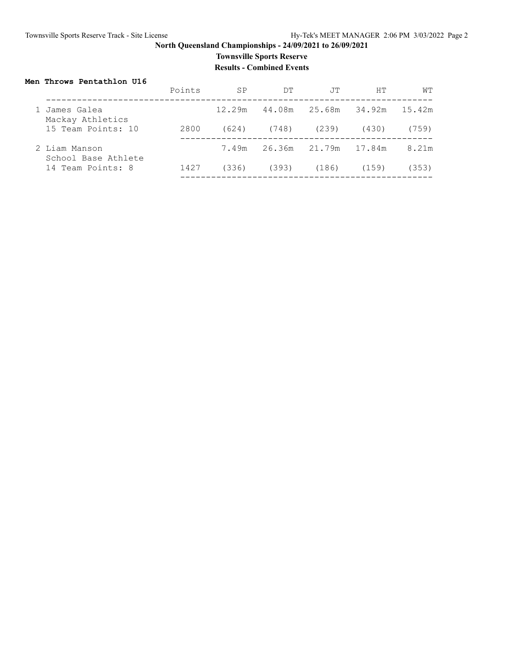## **Townsville Sports Reserve**

**Results - Combined Events**

#### **Men Throws Pentathlon U16**

|                                      | Points | <b>SP</b> | DT                   | .TT                    | HТ    | WТ     |
|--------------------------------------|--------|-----------|----------------------|------------------------|-------|--------|
| James Galea<br>Mackay Athletics      |        | 12.29m    |                      | 44.08m  25.68m  34.92m |       | 15.42m |
| 15 Team Points: 10                   | 2800   | (624)     | (748)                | (239)                  | (430) | (759)  |
| 2 Liam Manson<br>School Base Athlete |        | 7.49m     | 26.36m 21.79m 17.84m |                        |       | 8.21m  |
| 14 Team Points: 8                    | 1427   | (336)     | (393)                | (186)                  | (159) | (353)  |
|                                      |        |           |                      |                        |       |        |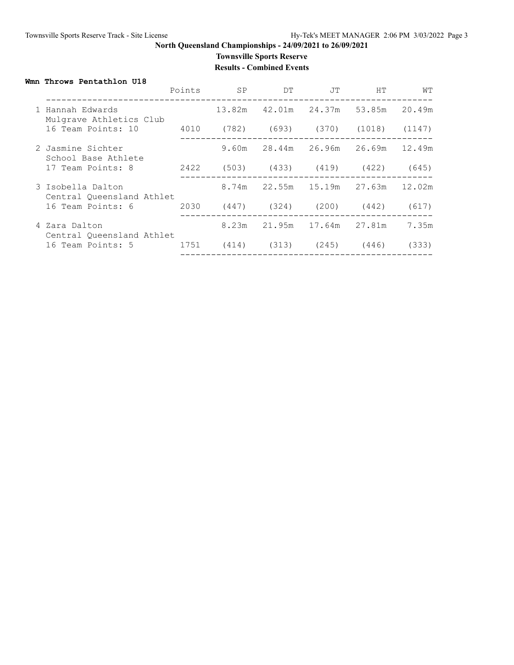# **Townsville Sports Reserve**

**Results - Combined Events**

#### **Wmn Throws Pentathlon U18**

|  |                                                | Points | <b>SP</b> | DT                              | JT     | HT.                                       | WТ     |
|--|------------------------------------------------|--------|-----------|---------------------------------|--------|-------------------------------------------|--------|
|  | 1 Hannah Edwards<br>Mulgrave Athletics Club    |        |           |                                 |        | 13.82m 42.01m 24.37m 53.85m 20.49m        |        |
|  | 16 Team Points: 10                             | 4010   |           |                                 |        | $(782)$ $(693)$ $(370)$ $(1018)$ $(1147)$ |        |
|  | 2 Jasmine Sichter<br>School Base Athlete       |        |           | 9.60m 28.44m 26.96m             |        | 26.69m 12.49m                             |        |
|  | 17 Team Points: 8                              | 2422   |           |                                 |        | (503) (433) (419) (422)                   | (645)  |
|  | 3 Isobella Dalton<br>Central Oueensland Athlet |        |           | 8.74m 22.55m                    | 15.19m | 27.63m                                    | 12.02m |
|  | 16 Team Points: 6                              | 2030   |           | $(447)$ $(324)$ $(200)$ $(442)$ |        |                                           | (617)  |
|  | 4 Zara Dalton<br>Central Oueensland Athlet     |        | 8.23m     | 21.95m                          |        | 17.64m 27.81m                             | 7.35m  |
|  | 16 Team Points: 5                              | 1751   |           | $(414)$ $(313)$ $(245)$ $(446)$ |        |                                           | (333)  |
|  |                                                |        |           |                                 |        |                                           |        |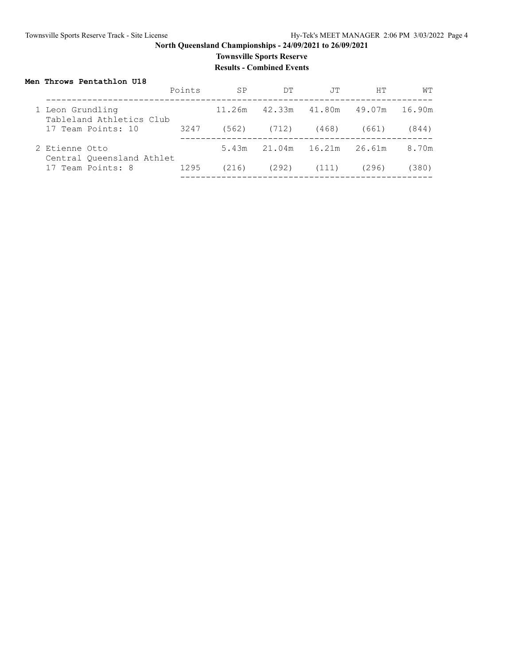### **Townsville Sports Reserve Results - Combined Events**

#### **Men Throws Pentathlon U18**

|                                              | Points | SP     | DT     | TT.    | HТ     | WТ     |
|----------------------------------------------|--------|--------|--------|--------|--------|--------|
| 1 Leon Grundling<br>Tableland Athletics Club |        | 11.26m | 42.33m | 41.80m | 49.07m | 16.90m |
| 17 Team Points: 10                           | 3247   | (562)  | (712)  | (468)  | (661)  | (844)  |
| 2 Etienne Otto<br>Central Oueensland Athlet  |        | 5.43m  | 21.04m | 16.21m | 26.61m | 8.70m  |
| 17 Team Points: 8                            | 1295   | (216)  | (292)  | (111)  | (296)  | (380)  |
|                                              |        |        |        |        |        |        |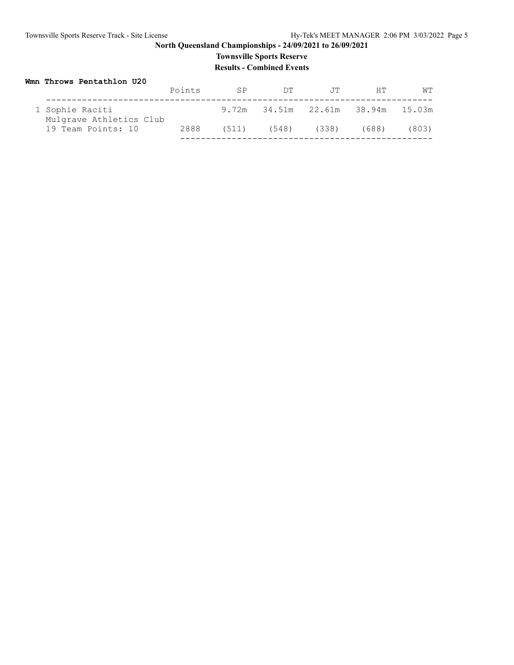### **Townsville Sports Reserve Results - Combined Events**

| Wmn Throws Pentathlon U20                  |        |       |                                   |       |       |       |  |
|--------------------------------------------|--------|-------|-----------------------------------|-------|-------|-------|--|
|                                            | Points | SP    | DT.                               | .TT   | HT.   | WΤ    |  |
| 1 Sophie Raciti<br>Mulgrave Athletics Club |        |       | 9.72m 34.51m 22.61m 38.94m 15.03m |       |       |       |  |
| 19 Team Points: 10                         | 2888   | (511) | (548)                             | (338) | (688) | (803) |  |
|                                            |        |       |                                   |       |       |       |  |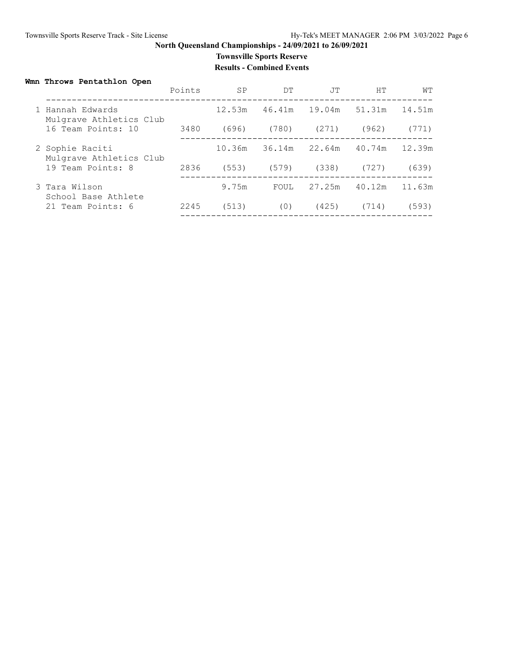### **Townsville Sports Reserve**

#### **Results - Combined Events**

### **Wmn Throws Pentathlon Open**

|                                             | Points | <b>SP</b> | DТ     | JT     | HТ     | WТ     |
|---------------------------------------------|--------|-----------|--------|--------|--------|--------|
| 1 Hannah Edwards<br>Mulgrave Athletics Club |        | 12.53m    | 46.41m | 19.04m | 51.31m | 14.51m |
| 16 Team Points: 10                          | 3480   | (696)     | (780)  | (271)  | (962)  | (771)  |
| 2 Sophie Raciti<br>Mulgrave Athletics Club  |        | 10.36m    | 36.14m | 22.64m | 40.74m | 12.39m |
| 19 Team Points: 8                           | 2836   | (553)     | (579)  | (338)  | (727)  | (639)  |
| 3 Tara Wilson<br>School Base Athlete        |        | 9.75m     | FOUL   | 27.25m | 40.12m | 11.63m |
| 21 Team Points: 6                           | 2245   | (513)     | (0)    | (425)  | (714)  | (593)  |
|                                             |        |           |        |        |        |        |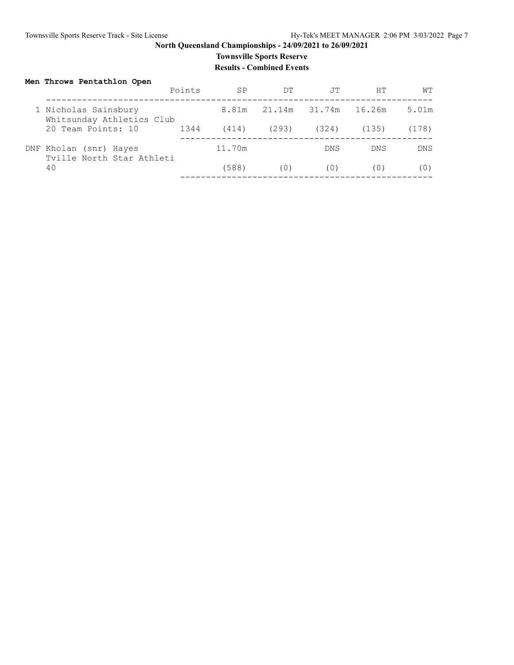### **Townsville Sports Reserve Results - Combined Events**

### **Men Throws Pentathlon Open**

|                                                     | Points | <b>SP</b> | DT.           | .TT        | HТ         | WТ         |
|-----------------------------------------------------|--------|-----------|---------------|------------|------------|------------|
| 1 Nicholas Sainsbury<br>Whitsunday Athletics Club   |        | 8.81m     | 21.14m 31.74m |            | 16.26m     | 5.01m      |
| 20 Team Points: 10                                  | 1344   | (414)     | (293)         | (324)      | (135)      | (178)      |
| DNF Kholan (snr) Hayes<br>Tyille North Star Athleti |        | 11.70m    |               | <b>DNS</b> | <b>DNS</b> | <b>DNS</b> |
| 40                                                  |        | (588)     | (0)           | ( () )     | ( () )     | ( O )      |
|                                                     |        |           |               |            |            |            |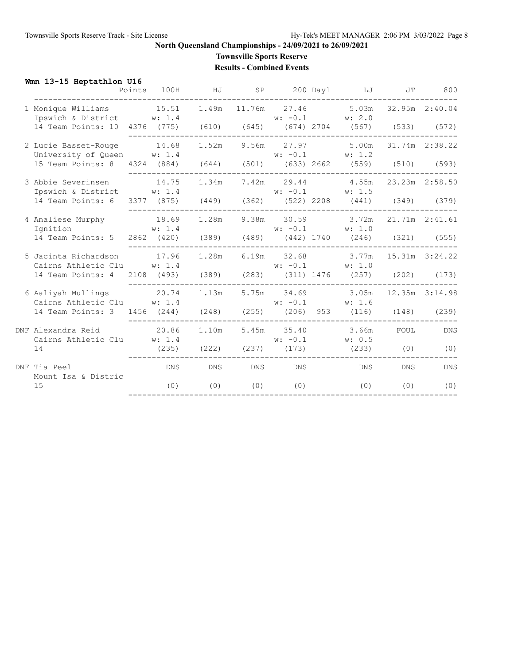# **Townsville Sports Reserve**

**Results - Combined Events**

### **Wmn 13-15 Heptathlon U16**

|                                                                               | Points 100H | HJ      |           | SP 200 Day1 LJ JT                                             |            | 800            |
|-------------------------------------------------------------------------------|-------------|---------|-----------|---------------------------------------------------------------|------------|----------------|
| 1 Monique Williams 15.51<br>Ipswich & District W: 1.4                         |             |         |           | 1.49m 11.76m 27.46 5.03m 32.95m 2:40.04<br>$w: -0.1$ $w: 2.0$ |            |                |
| 14 Team Points: 10 4376 (775) (610) (645) (674) 2704 (567) (533) (572)        |             |         |           |                                                               |            |                |
| 2 Lucie Basset-Rouge 14.68<br>University of Queen $w: 1.4$ $w: -0.1$ $w: 1.2$ |             |         |           | 1.52m 9.56m 27.97 5.00m                                       |            | 31.74m 2:38.22 |
| 15 Team Points: 8 4324 (884) (644) (501) (633) 2662 (559) (510) (593)         |             |         |           |                                                               |            |                |
| 3 Abbie Severinsen<br>Ipswich & District W: 1.4                               | 14.75       |         |           | 1.34m 7.42m 29.44 4.55m 23.23m 2:58.50<br>$w: -0.1$ $w: 1.5$  |            |                |
| 14 Team Points: 6 3377 (875) (449) (362) (522) 2208 (441) (349) (379)         |             |         |           |                                                               |            |                |
| 4 Analiese Murphy 18.69<br>Ignition W: 1.4                                    |             |         |           | 1.28m 9.38m 30.59 3.72m 21.71m 2:41.61                        |            |                |
| 14 Team Points: 5                                                             |             |         |           | w: 1.4<br>2862 (420) (389) (489) (442) 1740 (246) (321) (555) |            |                |
| 5 Jacinta Richardson 17.96<br>Cairns Athletic Clu w: 1.4                      |             |         |           | 1.28m 6.19m 32.68 3.77m 15.31m 3:24.22<br>$w: -0.1$ $w: 1.0$  |            |                |
| 14 Team Points: 4 2108 (493) (389) (283) (311) 1476 (257) (202) (173)         |             |         |           |                                                               |            |                |
| 6 Aaliyah Mullings 20.74<br>Cairns Athletic Clu w: 1.4                        |             | 1.13m   |           | 5.75m 34.69 3.05m 12.35m 3:14.98<br>$w: -0.1$ $w: 1.6$        |            |                |
| 14 Team Points: 3 1456 (244) (248) (255) (206) 953 (116) (148) (239)          |             |         |           |                                                               |            |                |
| DNF Alexandra Reid 20.86<br>Cairns Athletic Clu W: 1.4                        |             | 1.10m   |           | 5.45m 35.40 3.66m<br>$w: -0.1$ $w: 0.5$                       | FOUL       | <b>DNS</b>     |
| 14                                                                            |             |         |           | $(235)$ $(222)$ $(237)$ $(173)$ $(233)$ $(0)$                 |            | (0)            |
| DNF Tia Peel<br>Mount Isa & Distric                                           |             | DNS DNS | DNS DNS   | <b>DNS</b>                                                    | <b>DNS</b> | DNS            |
| 15                                                                            | (0)         | (0)     | $(0)$ (0) | (0)                                                           | (0)        | (0)            |
|                                                                               |             |         |           |                                                               |            |                |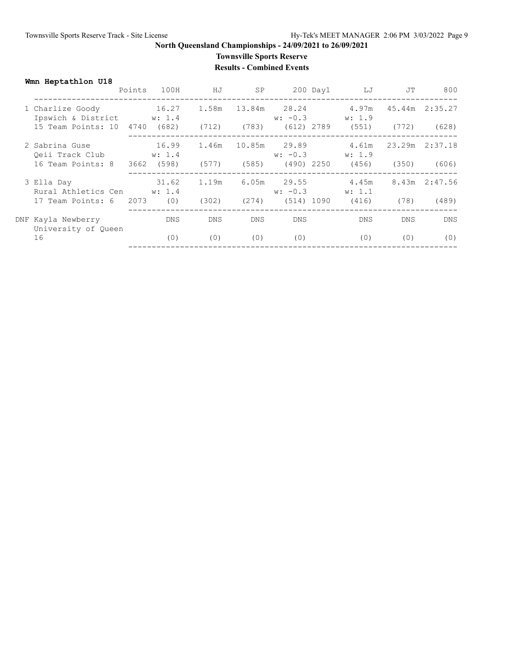### **Townsville Sports Reserve Results - Combined Events**

**Wmn Heptathlon U18**

|                                                                                                      | Points | 100H                          | ΗJ             | SP    |                                          | 200 Day1 | LJ                                      | JT    | 800                        |
|------------------------------------------------------------------------------------------------------|--------|-------------------------------|----------------|-------|------------------------------------------|----------|-----------------------------------------|-------|----------------------------|
| 1 Charlize Goody<br>Ipswich & District<br>15 Team Points: 10 4740 (682) (712) (783) (612) 2789 (551) |        | 16.27<br>w: 1.4               | 1.58m          |       |                                          |          | 4.97m<br>$w: -0.3$ $w: 1.9$             | (772) | 45.44m 2:35.27<br>(628)    |
| 2 Sabrina Guse<br>Oeii Track Club<br>16 Team Points: 8                                               |        | 16.99<br>w: 1.4<br>3662 (598) | 1.46m<br>(577) | (585) | $w: -0.3$                                |          | 4.61m<br>w: 1.9<br>$(490)$ 2250 $(456)$ | (350) | 23.29m 2:37.18<br>(606)    |
| 3 Ella Day<br>Rural Athletics Cen<br>17 Team Points: 6 2073                                          |        | 31.62<br>w: 1.4<br>(0)        | 1.19m<br>(302) | (274) | $6.05m$ 29.55<br>$w: -0.3$<br>(514) 1090 |          | 4.45m<br>w: 1.1<br>(416)                | (78)  | $8.43m$ $2:47.56$<br>(489) |
| DNF Kayla Newberry                                                                                   |        | DNS.                          | <b>DNS</b>     | DNS.  | <b>DNS</b>                               |          | DNS.                                    | DNS.  | <b>DNS</b>                 |
| University of Queen<br>16                                                                            |        | (0)                           | (0)            | (0)   | (0)                                      |          | (0)                                     | (0)   | (0)                        |
|                                                                                                      |        |                               |                |       |                                          |          |                                         |       |                            |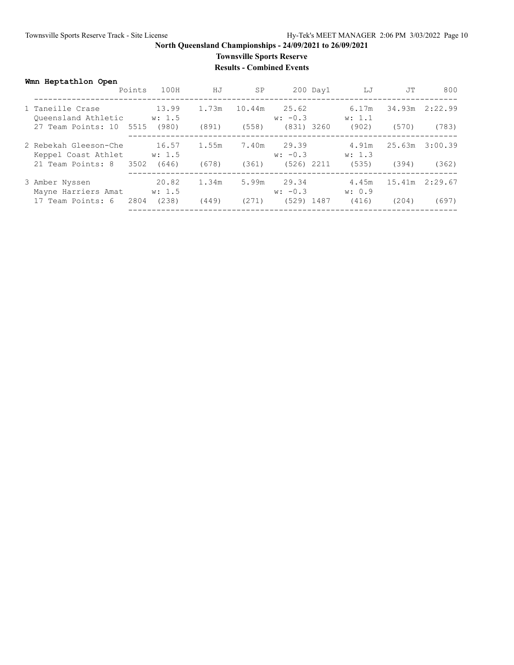### **Townsville Sports Reserve Results - Combined Events**

#### **Wmn Heptathlon Open**

|                                              | Points | 100H            | ΗJ    | SP     |                    | $200$ Day $1$ | LJ              | JТ     | 800     |
|----------------------------------------------|--------|-----------------|-------|--------|--------------------|---------------|-----------------|--------|---------|
| 1 Taneille Crase<br>Oueensland Athletic      |        | 13.99<br>w: 1.5 | 1.73m | 10.44m | 25.62<br>$w: -0.3$ |               | 6.17m<br>w: 1.1 | 34.93m | 2:22.99 |
| 27 Team Points: 10 5515                      |        | (980)           | (891) | (558)  |                    | (831) 3260    | (902)           | (570)  | (783)   |
| 2 Rebekah Gleeson-Che<br>Keppel Coast Athlet |        | 16.57<br>w: 1.5 | 1.55m | 7.40m  | 29.39<br>$w: -0.3$ |               | 4.91m<br>w: 1.3 | 25.63m | 3:00.39 |
| 21 Team Points: 8 3502                       |        | (646)           | (678) | (361)  |                    | (526) 2211    | (535)           | (394)  | (362)   |
| 3 Amber Nyssen<br>Mayne Harriers Amat        |        | 20.82<br>w: 1.5 | 1.34m | 5.99m  | 29.34<br>$w: -0.3$ |               | 4.45m<br>w: 0.9 | 15.41m | 2:29.67 |
| 17 Team Points: 6                            | 2804   | (238)           | (449) | (271)  | (529) 1487         |               | (416)           | (204)  | (697)   |
|                                              |        |                 |       |        |                    |               |                 |        |         |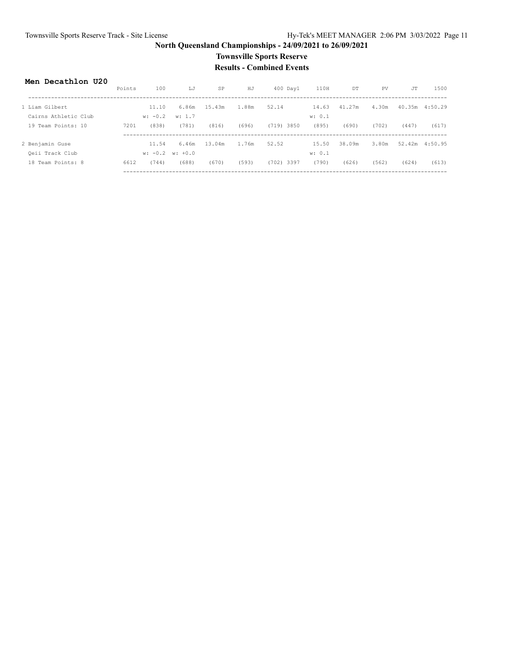### **Townsville Sports Reserve Results - Combined Events**

#### **Men Decathlon U20**

|                      | Points | 100       | LJ                  | SP     | HJ    | $400$ Day $1$ | 110H   | DT     | PV    | JT    | 1500            |
|----------------------|--------|-----------|---------------------|--------|-------|---------------|--------|--------|-------|-------|-----------------|
|                      |        |           |                     |        |       |               |        |        |       |       |                 |
| 1 Liam Gilbert       |        | 11.10     | 6.86m               | 15.43m | 1.88m | 52.14         | 14.63  | 41.27m | 4.30m |       | 40.35m  4:50.29 |
| Cairns Athletic Club |        | $w: -0.2$ | w: 1.7              |        |       |               | w: 0.1 |        |       |       |                 |
| 19 Team Points: 10   | 7201   | (838)     | (781)               | (816)  | (696) | $(719)$ 3850  | (895)  | (690)  | (702) | (447) | (617)           |
|                      |        |           |                     |        |       |               |        |        |       |       |                 |
| 2 Benjamin Guse      |        | 11.54     | 6.46m               | 13.04m | 1.76m | 52.52         | 15.50  | 38.09m | 3.80m |       | 52.42m 4:50.95  |
| Qeii Track Club      |        |           | $w: -0.2$ $w: +0.0$ |        |       |               | w: 0.1 |        |       |       |                 |
| 18 Team Points: 8    | 6612   | (744)     | (688)               | (670)  | (593) | $(702)$ 3397  | (790)  | (626)  | (562) | (624) | (613)           |
|                      |        |           |                     |        |       |               |        |        |       |       |                 |